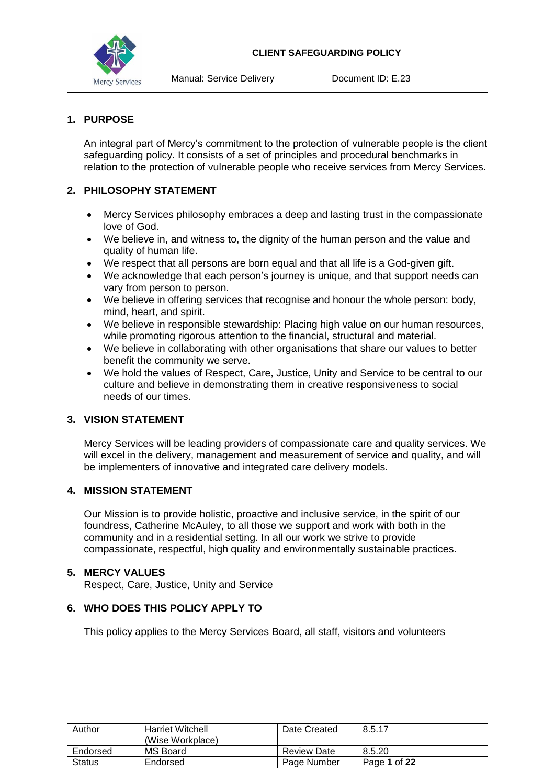

### **1. PURPOSE**

An integral part of Mercy's commitment to the protection of vulnerable people is the client safeguarding policy. It consists of a set of principles and procedural benchmarks in relation to the protection of vulnerable people who receive services from Mercy Services.

### **2. PHILOSOPHY STATEMENT**

- Mercy Services philosophy embraces a deep and lasting trust in the compassionate love of God.
- We believe in, and witness to, the dignity of the human person and the value and quality of human life.
- We respect that all persons are born equal and that all life is a God-given gift.
- We acknowledge that each person's journey is unique, and that support needs can vary from person to person.
- We believe in offering services that recognise and honour the whole person: body, mind, heart, and spirit.
- We believe in responsible stewardship: Placing high value on our human resources, while promoting rigorous attention to the financial, structural and material.
- We believe in collaborating with other organisations that share our values to better benefit the community we serve.
- We hold the values of Respect, Care, Justice, Unity and Service to be central to our culture and believe in demonstrating them in creative responsiveness to social needs of our times.

#### **3. VISION STATEMENT**

Mercy Services will be leading providers of compassionate care and quality services. We will excel in the delivery, management and measurement of service and quality, and will be implementers of innovative and integrated care delivery models.

#### **4. MISSION STATEMENT**

Our Mission is to provide holistic, proactive and inclusive service, in the spirit of our foundress, Catherine McAuley, to all those we support and work with both in the community and in a residential setting. In all our work we strive to provide compassionate, respectful, high quality and environmentally sustainable practices.

#### **5. MERCY VALUES**

Respect, Care, Justice, Unity and Service

### **6. WHO DOES THIS POLICY APPLY TO**

This policy applies to the Mercy Services Board, all staff, visitors and volunteers

| Author        | <b>Harriet Witchell</b><br>(Wise Workplace) | Date Created       | 8.5.17       |
|---------------|---------------------------------------------|--------------------|--------------|
| Endorsed      | MS Board                                    | <b>Review Date</b> | 8.5.20       |
| <b>Status</b> | Endorsed                                    | Page Number        | Page 1 of 22 |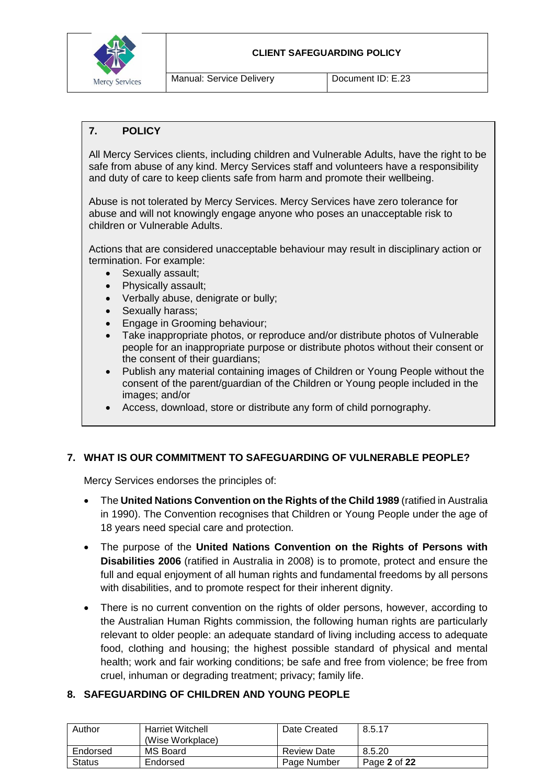

#### **CLIENT SAFEGUARDING POLICY**

Manual: Service Delivery **Document ID: E.23** 

# **7. POLICY**

All Mercy Services clients, including children and Vulnerable Adults, have the right to be safe from abuse of any kind. Mercy Services staff and volunteers have a responsibility and duty of care to keep clients safe from harm and promote their wellbeing.

Abuse is not tolerated by Mercy Services. Mercy Services have zero tolerance for abuse and will not knowingly engage anyone who poses an unacceptable risk to children or Vulnerable Adults.

Actions that are considered unacceptable behaviour may result in disciplinary action or termination. For example:

- Sexually assault;
- Physically assault;
- Verbally abuse, denigrate or bully;
- Sexually harass;
- **Engage in Grooming behaviour;**
- Take inappropriate photos, or reproduce and/or distribute photos of Vulnerable people for an inappropriate purpose or distribute photos without their consent or the consent of their guardians;
- Publish any material containing images of Children or Young People without the consent of the parent/guardian of the Children or Young people included in the images; and/or
- Access, download, store or distribute any form of child pornography.

# **7. WHAT IS OUR COMMITMENT TO SAFEGUARDING OF VULNERABLE PEOPLE?**

Mercy Services endorses the principles of:

- The **United Nations Convention on the Rights of the Child 1989** (ratified in Australia in 1990). The Convention recognises that Children or Young People under the age of 18 years need special care and protection.
- The purpose of the **United Nations Convention on the Rights of Persons with Disabilities 2006** (ratified in Australia in 2008) is to promote, protect and ensure the full and equal enjoyment of all human rights and fundamental freedoms by all persons with disabilities, and to promote respect for their inherent dignity.
- There is no current convention on the rights of older persons, however, according to the Australian Human Rights commission, the following human rights are particularly relevant to older people: an adequate standard of living including access to adequate food, clothing and housing; the highest possible standard of physical and mental health; work and fair working conditions; be safe and free from violence; be free from cruel, inhuman or degrading treatment; privacy; family life.

#### **8. SAFEGUARDING OF CHILDREN AND YOUNG PEOPLE**

| Author        | <b>Harriet Witchell</b><br>(Wise Workplace) | Date Created       | 8.5.17       |
|---------------|---------------------------------------------|--------------------|--------------|
| Endorsed      | MS Board                                    | <b>Review Date</b> | 8.5.20       |
| <b>Status</b> | Endorsed                                    | Page Number        | Page 2 of 22 |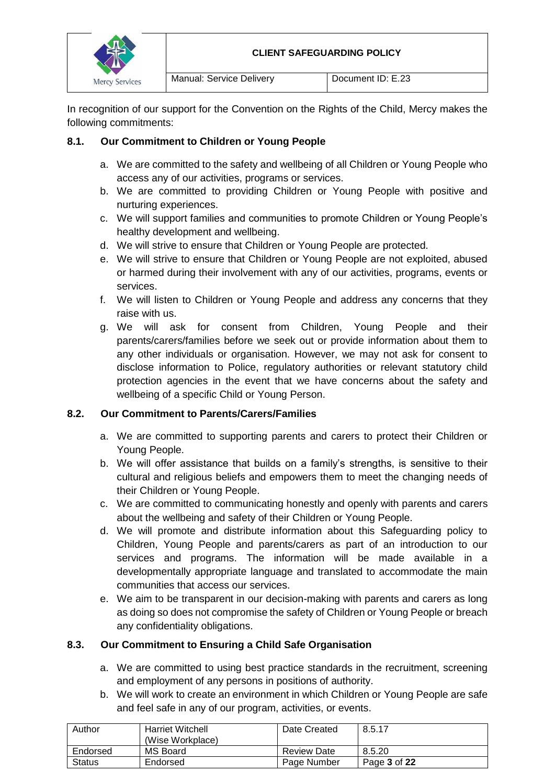

In recognition of our support for the Convention on the Rights of the Child, Mercy makes the following commitments:

# **8.1. Our Commitment to Children or Young People**

- a. We are committed to the safety and wellbeing of all Children or Young People who access any of our activities, programs or services.
- b. We are committed to providing Children or Young People with positive and nurturing experiences.
- c. We will support families and communities to promote Children or Young People's healthy development and wellbeing.
- d. We will strive to ensure that Children or Young People are protected.
- e. We will strive to ensure that Children or Young People are not exploited, abused or harmed during their involvement with any of our activities, programs, events or services.
- f. We will listen to Children or Young People and address any concerns that they raise with us.
- g. We will ask for consent from Children, Young People and their parents/carers/families before we seek out or provide information about them to any other individuals or organisation. However, we may not ask for consent to disclose information to Police, regulatory authorities or relevant statutory child protection agencies in the event that we have concerns about the safety and wellbeing of a specific Child or Young Person.

# **8.2. Our Commitment to Parents/Carers/Families**

- a. We are committed to supporting parents and carers to protect their Children or Young People.
- b. We will offer assistance that builds on a family's strengths, is sensitive to their cultural and religious beliefs and empowers them to meet the changing needs of their Children or Young People.
- c. We are committed to communicating honestly and openly with parents and carers about the wellbeing and safety of their Children or Young People.
- d. We will promote and distribute information about this Safeguarding policy to Children, Young People and parents/carers as part of an introduction to our services and programs. The information will be made available in a developmentally appropriate language and translated to accommodate the main communities that access our services.
- e. We aim to be transparent in our decision-making with parents and carers as long as doing so does not compromise the safety of Children or Young People or breach any confidentiality obligations.

# **8.3. Our Commitment to Ensuring a Child Safe Organisation**

- a. We are committed to using best practice standards in the recruitment, screening and employment of any persons in positions of authority.
- b. We will work to create an environment in which Children or Young People are safe and feel safe in any of our program, activities, or events.

| Author        | <b>Harriet Witchell</b><br>(Wise Workplace) | Date Created       | 8.5.17       |
|---------------|---------------------------------------------|--------------------|--------------|
| Endorsed      | MS Board                                    | <b>Review Date</b> | 8.5.20       |
| <b>Status</b> | Endorsed                                    | Page Number        | Page 3 of 22 |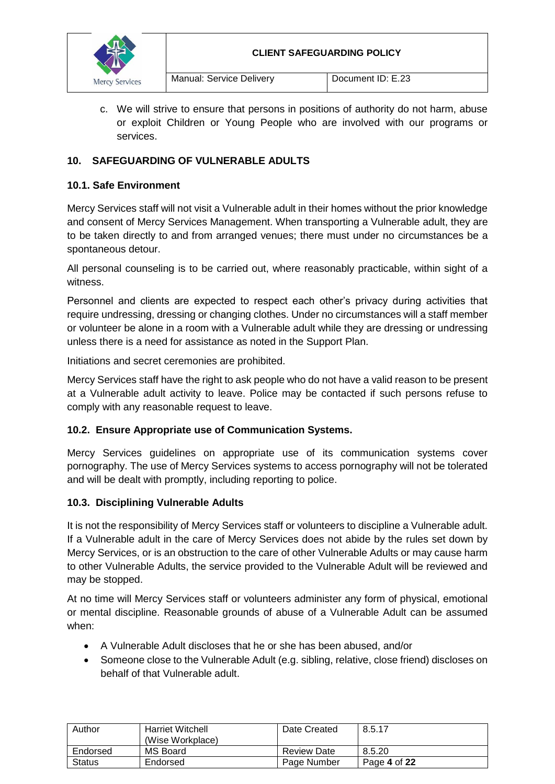

c. We will strive to ensure that persons in positions of authority do not harm, abuse or exploit Children or Young People who are involved with our programs or services.

# **10. SAFEGUARDING OF VULNERABLE ADULTS**

# **10.1. Safe Environment**

Mercy Services staff will not visit a Vulnerable adult in their homes without the prior knowledge and consent of Mercy Services Management. When transporting a Vulnerable adult, they are to be taken directly to and from arranged venues; there must under no circumstances be a spontaneous detour.

All personal counseling is to be carried out, where reasonably practicable, within sight of a witness.

Personnel and clients are expected to respect each other's privacy during activities that require undressing, dressing or changing clothes. Under no circumstances will a staff member or volunteer be alone in a room with a Vulnerable adult while they are dressing or undressing unless there is a need for assistance as noted in the Support Plan.

Initiations and secret ceremonies are prohibited.

Mercy Services staff have the right to ask people who do not have a valid reason to be present at a Vulnerable adult activity to leave. Police may be contacted if such persons refuse to comply with any reasonable request to leave.

# **10.2. Ensure Appropriate use of Communication Systems.**

Mercy Services guidelines on appropriate use of its communication systems cover pornography. The use of Mercy Services systems to access pornography will not be tolerated and will be dealt with promptly, including reporting to police.

# **10.3. Disciplining Vulnerable Adults**

It is not the responsibility of Mercy Services staff or volunteers to discipline a Vulnerable adult. If a Vulnerable adult in the care of Mercy Services does not abide by the rules set down by Mercy Services, or is an obstruction to the care of other Vulnerable Adults or may cause harm to other Vulnerable Adults, the service provided to the Vulnerable Adult will be reviewed and may be stopped.

At no time will Mercy Services staff or volunteers administer any form of physical, emotional or mental discipline. Reasonable grounds of abuse of a Vulnerable Adult can be assumed when:

- A Vulnerable Adult discloses that he or she has been abused, and/or
- Someone close to the Vulnerable Adult (e.g. sibling, relative, close friend) discloses on behalf of that Vulnerable adult.

| Author        | <b>Harriet Witchell</b><br>(Wise Workplace) | Date Created       | 8.5.17       |
|---------------|---------------------------------------------|--------------------|--------------|
| Endorsed      | MS Board                                    | <b>Review Date</b> | 8.5.20       |
| <b>Status</b> | Endorsed                                    | Page Number        | Page 4 of 22 |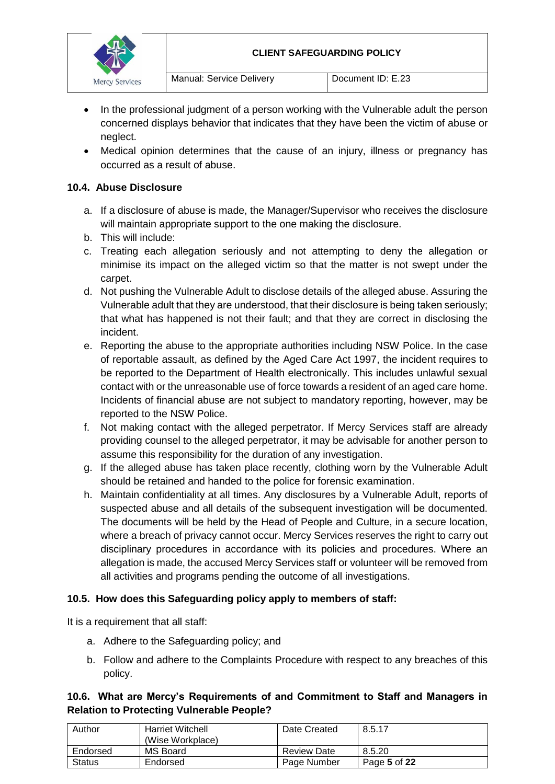

- In the professional judgment of a person working with the Vulnerable adult the person concerned displays behavior that indicates that they have been the victim of abuse or neglect.
- Medical opinion determines that the cause of an injury, illness or pregnancy has occurred as a result of abuse.

### **10.4. Abuse Disclosure**

- a. If a disclosure of abuse is made, the Manager/Supervisor who receives the disclosure will maintain appropriate support to the one making the disclosure.
- b. This will include:
- c. Treating each allegation seriously and not attempting to deny the allegation or minimise its impact on the alleged victim so that the matter is not swept under the carpet.
- d. Not pushing the Vulnerable Adult to disclose details of the alleged abuse. Assuring the Vulnerable adult that they are understood, that their disclosure is being taken seriously; that what has happened is not their fault; and that they are correct in disclosing the incident.
- e. Reporting the abuse to the appropriate authorities including NSW Police. In the case of reportable assault, as defined by the Aged Care Act 1997, the incident requires to be reported to the Department of Health electronically. This includes unlawful sexual contact with or the unreasonable use of force towards a resident of an aged care home. Incidents of financial abuse are not subject to mandatory reporting, however, may be reported to the NSW Police.
- f. Not making contact with the alleged perpetrator. If Mercy Services staff are already providing counsel to the alleged perpetrator, it may be advisable for another person to assume this responsibility for the duration of any investigation.
- g. If the alleged abuse has taken place recently, clothing worn by the Vulnerable Adult should be retained and handed to the police for forensic examination.
- h. Maintain confidentiality at all times. Any disclosures by a Vulnerable Adult, reports of suspected abuse and all details of the subsequent investigation will be documented. The documents will be held by the Head of People and Culture, in a secure location, where a breach of privacy cannot occur. Mercy Services reserves the right to carry out disciplinary procedures in accordance with its policies and procedures. Where an allegation is made, the accused Mercy Services staff or volunteer will be removed from all activities and programs pending the outcome of all investigations.

#### **10.5. How does this Safeguarding policy apply to members of staff:**

It is a requirement that all staff:

- a. Adhere to the Safeguarding policy; and
- b. Follow and adhere to the Complaints Procedure with respect to any breaches of this policy.

### **10.6. What are Mercy's Requirements of and Commitment to Staff and Managers in Relation to Protecting Vulnerable People?**

| Author        | <b>Harriet Witchell</b><br>(Wise Workplace) | Date Created       | 8.5.17       |
|---------------|---------------------------------------------|--------------------|--------------|
| Endorsed      | MS Board                                    | <b>Review Date</b> | 8.5.20       |
| <b>Status</b> | Endorsed                                    | Page Number        | Page 5 of 22 |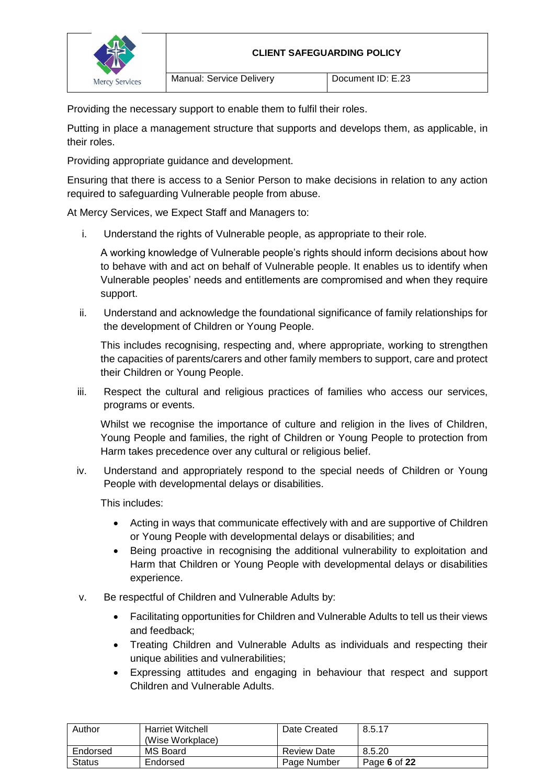

Providing the necessary support to enable them to fulfil their roles.

Putting in place a management structure that supports and develops them, as applicable, in their roles.

Providing appropriate guidance and development.

Ensuring that there is access to a Senior Person to make decisions in relation to any action required to safeguarding Vulnerable people from abuse.

At Mercy Services, we Expect Staff and Managers to:

i. Understand the rights of Vulnerable people, as appropriate to their role.

A working knowledge of Vulnerable people's rights should inform decisions about how to behave with and act on behalf of Vulnerable people. It enables us to identify when Vulnerable peoples' needs and entitlements are compromised and when they require support.

ii. Understand and acknowledge the foundational significance of family relationships for the development of Children or Young People.

This includes recognising, respecting and, where appropriate, working to strengthen the capacities of parents/carers and other family members to support, care and protect their Children or Young People.

iii. Respect the cultural and religious practices of families who access our services, programs or events.

Whilst we recognise the importance of culture and religion in the lives of Children, Young People and families, the right of Children or Young People to protection from Harm takes precedence over any cultural or religious belief.

iv. Understand and appropriately respond to the special needs of Children or Young People with developmental delays or disabilities.

This includes:

- Acting in ways that communicate effectively with and are supportive of Children or Young People with developmental delays or disabilities; and
- Being proactive in recognising the additional vulnerability to exploitation and Harm that Children or Young People with developmental delays or disabilities experience.
- v. Be respectful of Children and Vulnerable Adults by:
	- Facilitating opportunities for Children and Vulnerable Adults to tell us their views and feedback;
	- Treating Children and Vulnerable Adults as individuals and respecting their unique abilities and vulnerabilities;
	- Expressing attitudes and engaging in behaviour that respect and support Children and Vulnerable Adults.

| Author        | <b>Harriet Witchell</b><br>(Wise Workplace) | Date Created       | 8.5.17       |
|---------------|---------------------------------------------|--------------------|--------------|
| Endorsed      | MS Board                                    | <b>Review Date</b> | 8.5.20       |
| <b>Status</b> | Endorsed                                    | Page Number        | Page 6 of 22 |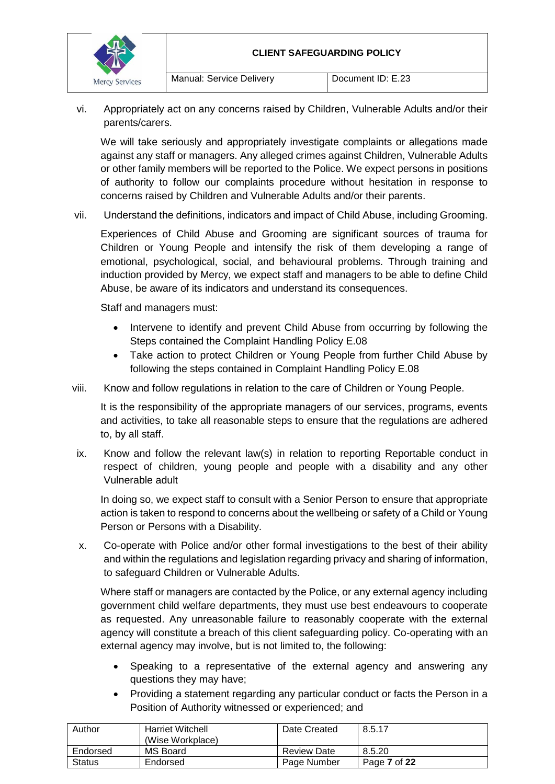

vi. Appropriately act on any concerns raised by Children, Vulnerable Adults and/or their parents/carers.

We will take seriously and appropriately investigate complaints or allegations made against any staff or managers. Any alleged crimes against Children, Vulnerable Adults or other family members will be reported to the Police. We expect persons in positions of authority to follow our complaints procedure without hesitation in response to concerns raised by Children and Vulnerable Adults and/or their parents.

vii. Understand the definitions, indicators and impact of Child Abuse, including Grooming.

Experiences of Child Abuse and Grooming are significant sources of trauma for Children or Young People and intensify the risk of them developing a range of emotional, psychological, social, and behavioural problems. Through training and induction provided by Mercy, we expect staff and managers to be able to define Child Abuse, be aware of its indicators and understand its consequences.

Staff and managers must:

- Intervene to identify and prevent Child Abuse from occurring by following the Steps contained the Complaint Handling Policy E.08
- Take action to protect Children or Young People from further Child Abuse by following the steps contained in Complaint Handling Policy E.08
- viii. Know and follow regulations in relation to the care of Children or Young People.

It is the responsibility of the appropriate managers of our services, programs, events and activities, to take all reasonable steps to ensure that the regulations are adhered to, by all staff.

ix. Know and follow the relevant law(s) in relation to reporting Reportable conduct in respect of children, young people and people with a disability and any other Vulnerable adult

In doing so, we expect staff to consult with a Senior Person to ensure that appropriate action is taken to respond to concerns about the wellbeing or safety of a Child or Young Person or Persons with a Disability.

x. Co-operate with Police and/or other formal investigations to the best of their ability and within the regulations and legislation regarding privacy and sharing of information, to safeguard Children or Vulnerable Adults.

Where staff or managers are contacted by the Police, or any external agency including government child welfare departments, they must use best endeavours to cooperate as requested. Any unreasonable failure to reasonably cooperate with the external agency will constitute a breach of this client safeguarding policy. Co-operating with an external agency may involve, but is not limited to, the following:

- Speaking to a representative of the external agency and answering any questions they may have;
- Providing a statement regarding any particular conduct or facts the Person in a Position of Authority witnessed or experienced; and

| Author        | <b>Harriet Witchell</b><br>(Wise Workplace) | Date Created       | 8.5.17       |
|---------------|---------------------------------------------|--------------------|--------------|
| Endorsed      | MS Board                                    | <b>Review Date</b> | 8.5.20       |
| <b>Status</b> | Endorsed                                    | Page Number        | Page 7 of 22 |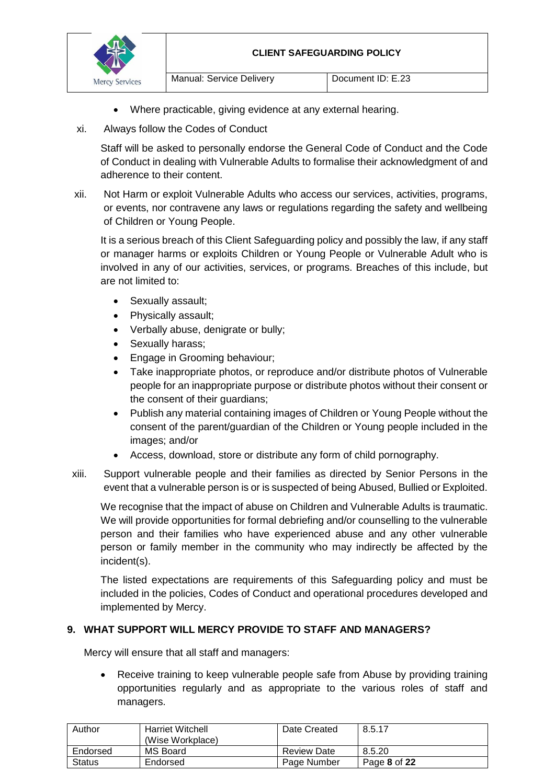

- Where practicable, giving evidence at any external hearing.
- xi. Always follow the Codes of Conduct

Staff will be asked to personally endorse the General Code of Conduct and the Code of Conduct in dealing with Vulnerable Adults to formalise their acknowledgment of and adherence to their content.

xii. Not Harm or exploit Vulnerable Adults who access our services, activities, programs, or events, nor contravene any laws or regulations regarding the safety and wellbeing of Children or Young People.

It is a serious breach of this Client Safeguarding policy and possibly the law, if any staff or manager harms or exploits Children or Young People or Vulnerable Adult who is involved in any of our activities, services, or programs. Breaches of this include, but are not limited to:

- Sexually assault;
- Physically assault;
- Verbally abuse, denigrate or bully;
- Sexually harass:
- Engage in Grooming behaviour;
- Take inappropriate photos, or reproduce and/or distribute photos of Vulnerable people for an inappropriate purpose or distribute photos without their consent or the consent of their guardians;
- Publish any material containing images of Children or Young People without the consent of the parent/guardian of the Children or Young people included in the images; and/or
- Access, download, store or distribute any form of child pornography.
- xiii. Support vulnerable people and their families as directed by Senior Persons in the event that a vulnerable person is or is suspected of being Abused, Bullied or Exploited.

We recognise that the impact of abuse on Children and Vulnerable Adults is traumatic. We will provide opportunities for formal debriefing and/or counselling to the vulnerable person and their families who have experienced abuse and any other vulnerable person or family member in the community who may indirectly be affected by the incident(s).

The listed expectations are requirements of this Safeguarding policy and must be included in the policies, Codes of Conduct and operational procedures developed and implemented by Mercy.

# **9. WHAT SUPPORT WILL MERCY PROVIDE TO STAFF AND MANAGERS?**

Mercy will ensure that all staff and managers:

 Receive training to keep vulnerable people safe from Abuse by providing training opportunities regularly and as appropriate to the various roles of staff and managers.

| Author        | <b>Harriet Witchell</b><br>(Wise Workplace) | Date Created       | 8.5.17       |
|---------------|---------------------------------------------|--------------------|--------------|
| Endorsed      | MS Board                                    | <b>Review Date</b> | 8.5.20       |
| <b>Status</b> | Endorsed                                    | Page Number        | Page 8 of 22 |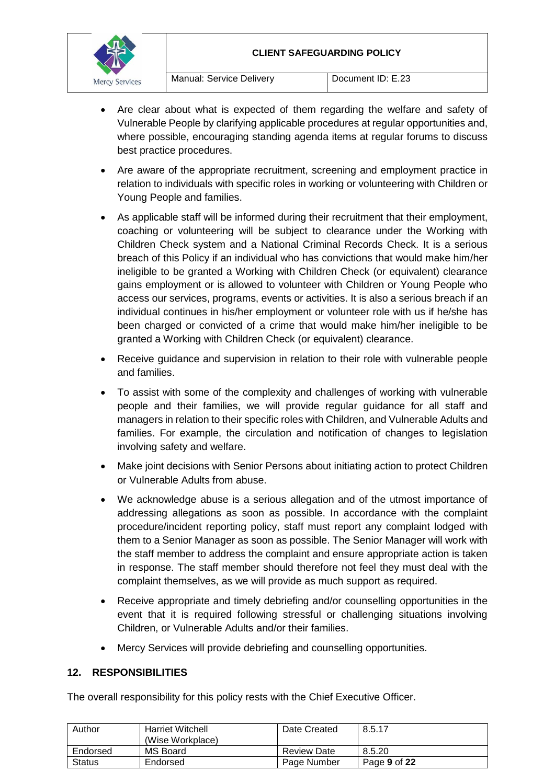#### **CLIENT SAFEGUARDING POLICY**



- Are clear about what is expected of them regarding the welfare and safety of Vulnerable People by clarifying applicable procedures at regular opportunities and, where possible, encouraging standing agenda items at regular forums to discuss best practice procedures.
- Are aware of the appropriate recruitment, screening and employment practice in relation to individuals with specific roles in working or volunteering with Children or Young People and families.
- As applicable staff will be informed during their recruitment that their employment, coaching or volunteering will be subject to clearance under the Working with Children Check system and a National Criminal Records Check. It is a serious breach of this Policy if an individual who has convictions that would make him/her ineligible to be granted a Working with Children Check (or equivalent) clearance gains employment or is allowed to volunteer with Children or Young People who access our services, programs, events or activities. It is also a serious breach if an individual continues in his/her employment or volunteer role with us if he/she has been charged or convicted of a crime that would make him/her ineligible to be granted a Working with Children Check (or equivalent) clearance.
- Receive guidance and supervision in relation to their role with vulnerable people and families.
- To assist with some of the complexity and challenges of working with vulnerable people and their families, we will provide regular guidance for all staff and managers in relation to their specific roles with Children, and Vulnerable Adults and families. For example, the circulation and notification of changes to legislation involving safety and welfare.
- Make joint decisions with Senior Persons about initiating action to protect Children or Vulnerable Adults from abuse.
- We acknowledge abuse is a serious allegation and of the utmost importance of addressing allegations as soon as possible. In accordance with the complaint procedure/incident reporting policy, staff must report any complaint lodged with them to a Senior Manager as soon as possible. The Senior Manager will work with the staff member to address the complaint and ensure appropriate action is taken in response. The staff member should therefore not feel they must deal with the complaint themselves, as we will provide as much support as required.
- Receive appropriate and timely debriefing and/or counselling opportunities in the event that it is required following stressful or challenging situations involving Children, or Vulnerable Adults and/or their families.
- Mercy Services will provide debriefing and counselling opportunities.

# **12. RESPONSIBILITIES**

The overall responsibility for this policy rests with the Chief Executive Officer.

| Author   | <b>Harriet Witchell</b><br>(Wise Workplace) | Date Created       | 8.5.17       |
|----------|---------------------------------------------|--------------------|--------------|
| Endorsed | MS Board                                    | <b>Review Date</b> | 8.5.20       |
| Status   | Endorsed                                    | Page Number        | Page 9 of 22 |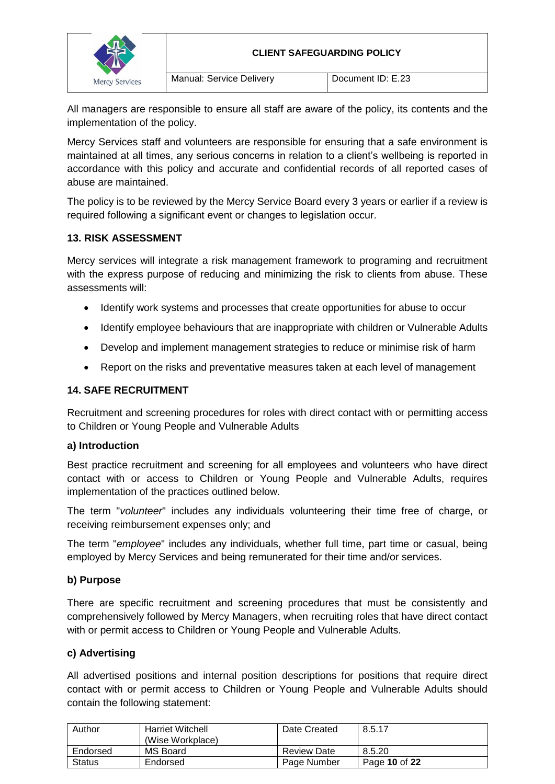

All managers are responsible to ensure all staff are aware of the policy, its contents and the implementation of the policy.

Mercy Services staff and volunteers are responsible for ensuring that a safe environment is maintained at all times, any serious concerns in relation to a client's wellbeing is reported in accordance with this policy and accurate and confidential records of all reported cases of abuse are maintained.

The policy is to be reviewed by the Mercy Service Board every 3 years or earlier if a review is required following a significant event or changes to legislation occur.

# **13. RISK ASSESSMENT**

Mercy services will integrate a risk management framework to programing and recruitment with the express purpose of reducing and minimizing the risk to clients from abuse. These assessments will:

- Identify work systems and processes that create opportunities for abuse to occur
- Identify employee behaviours that are inappropriate with children or Vulnerable Adults
- Develop and implement management strategies to reduce or minimise risk of harm
- Report on the risks and preventative measures taken at each level of management

# **14. SAFE RECRUITMENT**

Recruitment and screening procedures for roles with direct contact with or permitting access to Children or Young People and Vulnerable Adults

#### **a) Introduction**

Best practice recruitment and screening for all employees and volunteers who have direct contact with or access to Children or Young People and Vulnerable Adults, requires implementation of the practices outlined below.

The term "*volunteer*" includes any individuals volunteering their time free of charge, or receiving reimbursement expenses only; and

The term "*employee*" includes any individuals, whether full time, part time or casual, being employed by Mercy Services and being remunerated for their time and/or services.

# **b) Purpose**

There are specific recruitment and screening procedures that must be consistently and comprehensively followed by Mercy Managers, when recruiting roles that have direct contact with or permit access to Children or Young People and Vulnerable Adults.

# **c) Advertising**

All advertised positions and internal position descriptions for positions that require direct contact with or permit access to Children or Young People and Vulnerable Adults should contain the following statement:

| Author   | <b>Harriet Witchell</b><br>(Wise Workplace) | Date Created       | 8.5.17        |
|----------|---------------------------------------------|--------------------|---------------|
| Endorsed | MS Board                                    | <b>Review Date</b> | 8.5.20        |
| Status   | Endorsed                                    | Page Number        | Page 10 of 22 |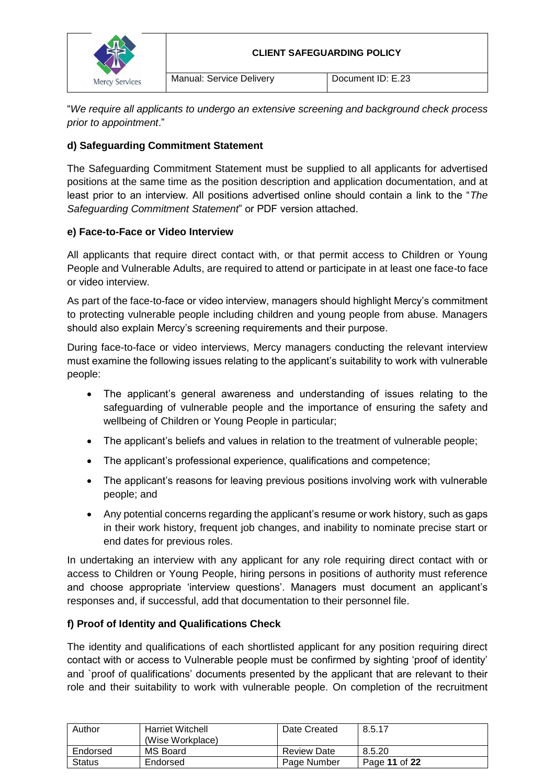

"*We require all applicants to undergo an extensive screening and background check process prior to appointment*."

# **d) Safeguarding Commitment Statement**

The Safeguarding Commitment Statement must be supplied to all applicants for advertised positions at the same time as the position description and application documentation, and at least prior to an interview. All positions advertised online should contain a link to the "*The Safeguarding Commitment Statement*" or PDF version attached.

# **e) Face-to-Face or Video Interview**

All applicants that require direct contact with, or that permit access to Children or Young People and Vulnerable Adults, are required to attend or participate in at least one face-to face or video interview.

As part of the face-to-face or video interview, managers should highlight Mercy's commitment to protecting vulnerable people including children and young people from abuse. Managers should also explain Mercy's screening requirements and their purpose.

During face-to-face or video interviews, Mercy managers conducting the relevant interview must examine the following issues relating to the applicant's suitability to work with vulnerable people:

- The applicant's general awareness and understanding of issues relating to the safeguarding of vulnerable people and the importance of ensuring the safety and wellbeing of Children or Young People in particular;
- The applicant's beliefs and values in relation to the treatment of vulnerable people;
- The applicant's professional experience, qualifications and competence;
- The applicant's reasons for leaving previous positions involving work with vulnerable people; and
- Any potential concerns regarding the applicant's resume or work history, such as gaps in their work history, frequent job changes, and inability to nominate precise start or end dates for previous roles.

In undertaking an interview with any applicant for any role requiring direct contact with or access to Children or Young People, hiring persons in positions of authority must reference and choose appropriate 'interview questions'. Managers must document an applicant's responses and, if successful, add that documentation to their personnel file.

# **f) Proof of Identity and Qualifications Check**

The identity and qualifications of each shortlisted applicant for any position requiring direct contact with or access to Vulnerable people must be confirmed by sighting 'proof of identity' and `proof of qualifications' documents presented by the applicant that are relevant to their role and their suitability to work with vulnerable people. On completion of the recruitment

| Author        | <b>Harriet Witchell</b><br>(Wise Workplace) | Date Created       | 8.5.17        |
|---------------|---------------------------------------------|--------------------|---------------|
| Endorsed      | MS Board                                    | <b>Review Date</b> | 8.5.20        |
| <b>Status</b> | Endorsed                                    | Page Number        | Page 11 of 22 |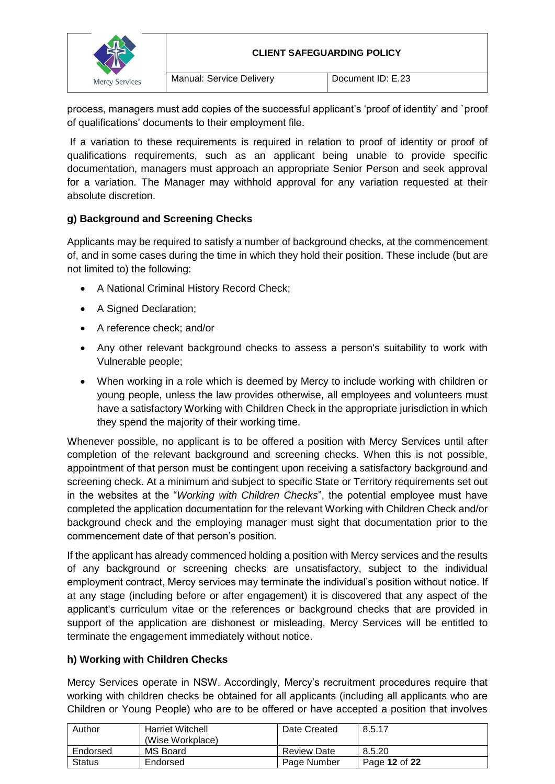

process, managers must add copies of the successful applicant's 'proof of identity' and `proof of qualifications' documents to their employment file.

If a variation to these requirements is required in relation to proof of identity or proof of qualifications requirements, such as an applicant being unable to provide specific documentation, managers must approach an appropriate Senior Person and seek approval for a variation. The Manager may withhold approval for any variation requested at their absolute discretion.

# **g) Background and Screening Checks**

Applicants may be required to satisfy a number of background checks, at the commencement of, and in some cases during the time in which they hold their position. These include (but are not limited to) the following:

- A National Criminal History Record Check;
- A Signed Declaration;
- A reference check: and/or
- Any other relevant background checks to assess a person's suitability to work with Vulnerable people;
- When working in a role which is deemed by Mercy to include working with children or young people, unless the law provides otherwise, all employees and volunteers must have a satisfactory Working with Children Check in the appropriate jurisdiction in which they spend the majority of their working time.

Whenever possible, no applicant is to be offered a position with Mercy Services until after completion of the relevant background and screening checks. When this is not possible, appointment of that person must be contingent upon receiving a satisfactory background and screening check. At a minimum and subject to specific State or Territory requirements set out in the websites at the "*Working with Children Checks*", the potential employee must have completed the application documentation for the relevant Working with Children Check and/or background check and the employing manager must sight that documentation prior to the commencement date of that person's position.

If the applicant has already commenced holding a position with Mercy services and the results of any background or screening checks are unsatisfactory, subject to the individual employment contract, Mercy services may terminate the individual's position without notice. If at any stage (including before or after engagement) it is discovered that any aspect of the applicant's curriculum vitae or the references or background checks that are provided in support of the application are dishonest or misleading, Mercy Services will be entitled to terminate the engagement immediately without notice.

# **h) Working with Children Checks**

Mercy Services operate in NSW. Accordingly, Mercy's recruitment procedures require that working with children checks be obtained for all applicants (including all applicants who are Children or Young People) who are to be offered or have accepted a position that involves

| Author        | <b>Harriet Witchell</b><br>(Wise Workplace) | Date Created       | 8.5.17        |
|---------------|---------------------------------------------|--------------------|---------------|
| Endorsed      | MS Board                                    | <b>Review Date</b> | 8.5.20        |
| <b>Status</b> | Endorsed                                    | Page Number        | Page 12 of 22 |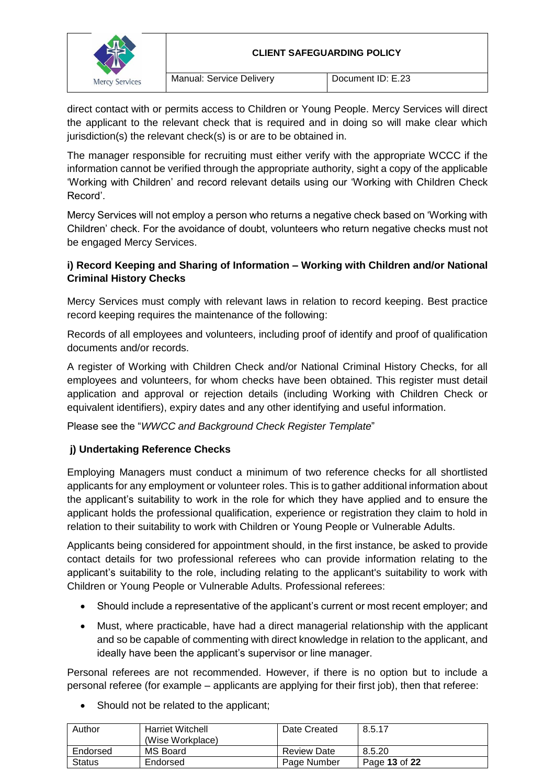

direct contact with or permits access to Children or Young People. Mercy Services will direct the applicant to the relevant check that is required and in doing so will make clear which jurisdiction(s) the relevant check(s) is or are to be obtained in.

The manager responsible for recruiting must either verify with the appropriate WCCC if the information cannot be verified through the appropriate authority, sight a copy of the applicable 'Working with Children' and record relevant details using our 'Working with Children Check Record'.

Mercy Services will not employ a person who returns a negative check based on 'Working with Children' check. For the avoidance of doubt, volunteers who return negative checks must not be engaged Mercy Services.

# **i) Record Keeping and Sharing of Information – Working with Children and/or National Criminal History Checks**

Mercy Services must comply with relevant laws in relation to record keeping. Best practice record keeping requires the maintenance of the following:

Records of all employees and volunteers, including proof of identify and proof of qualification documents and/or records.

A register of Working with Children Check and/or National Criminal History Checks, for all employees and volunteers, for whom checks have been obtained. This register must detail application and approval or rejection details (including Working with Children Check or equivalent identifiers), expiry dates and any other identifying and useful information.

Please see the "*WWCC and Background Check Register Template*"

# **j) Undertaking Reference Checks**

Employing Managers must conduct a minimum of two reference checks for all shortlisted applicants for any employment or volunteer roles. This is to gather additional information about the applicant's suitability to work in the role for which they have applied and to ensure the applicant holds the professional qualification, experience or registration they claim to hold in relation to their suitability to work with Children or Young People or Vulnerable Adults.

Applicants being considered for appointment should, in the first instance, be asked to provide contact details for two professional referees who can provide information relating to the applicant's suitability to the role, including relating to the applicant's suitability to work with Children or Young People or Vulnerable Adults. Professional referees:

- Should include a representative of the applicant's current or most recent employer; and
- Must, where practicable, have had a direct managerial relationship with the applicant and so be capable of commenting with direct knowledge in relation to the applicant, and ideally have been the applicant's supervisor or line manager.

Personal referees are not recommended. However, if there is no option but to include a personal referee (for example – applicants are applying for their first job), then that referee:

| Author        | <b>Harriet Witchell</b> | Date Created       | 8.5.17        |
|---------------|-------------------------|--------------------|---------------|
|               | (Wise Workplace)        |                    |               |
| Endorsed      | MS Board                | <b>Review Date</b> | 8.5.20        |
| <b>Status</b> | Endorsed                | Page Number        | Page 13 of 22 |

• Should not be related to the applicant;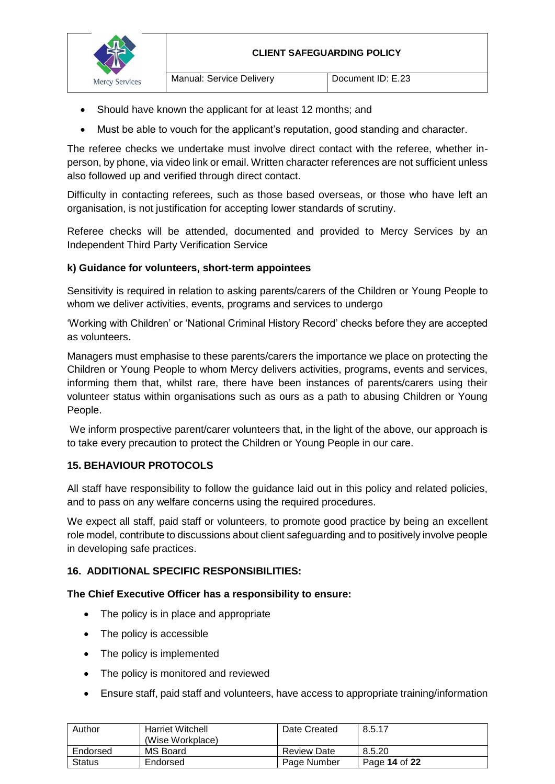

- Should have known the applicant for at least 12 months; and
- Must be able to vouch for the applicant's reputation, good standing and character.

The referee checks we undertake must involve direct contact with the referee, whether inperson, by phone, via video link or email. Written character references are not sufficient unless also followed up and verified through direct contact.

Difficulty in contacting referees, such as those based overseas, or those who have left an organisation, is not justification for accepting lower standards of scrutiny.

Referee checks will be attended, documented and provided to Mercy Services by an Independent Third Party Verification Service

### **k) Guidance for volunteers, short-term appointees**

Sensitivity is required in relation to asking parents/carers of the Children or Young People to whom we deliver activities, events, programs and services to undergo

'Working with Children' or 'National Criminal History Record' checks before they are accepted as volunteers.

Managers must emphasise to these parents/carers the importance we place on protecting the Children or Young People to whom Mercy delivers activities, programs, events and services, informing them that, whilst rare, there have been instances of parents/carers using their volunteer status within organisations such as ours as a path to abusing Children or Young People.

We inform prospective parent/carer volunteers that, in the light of the above, our approach is to take every precaution to protect the Children or Young People in our care.

# **15. BEHAVIOUR PROTOCOLS**

All staff have responsibility to follow the guidance laid out in this policy and related policies, and to pass on any welfare concerns using the required procedures.

We expect all staff, paid staff or volunteers, to promote good practice by being an excellent role model, contribute to discussions about client safeguarding and to positively involve people in developing safe practices.

# **16. ADDITIONAL SPECIFIC RESPONSIBILITIES:**

#### **The Chief Executive Officer has a responsibility to ensure:**

- The policy is in place and appropriate
- The policy is accessible
- The policy is implemented
- The policy is monitored and reviewed
- Ensure staff, paid staff and volunteers, have access to appropriate training/information

| Author        | <b>Harriet Witchell</b><br>(Wise Workplace) | Date Created       | 8.5.17        |
|---------------|---------------------------------------------|--------------------|---------------|
| Endorsed      | MS Board                                    | <b>Review Date</b> | 8.5.20        |
| <b>Status</b> | Endorsed                                    | Page Number        | Page 14 of 22 |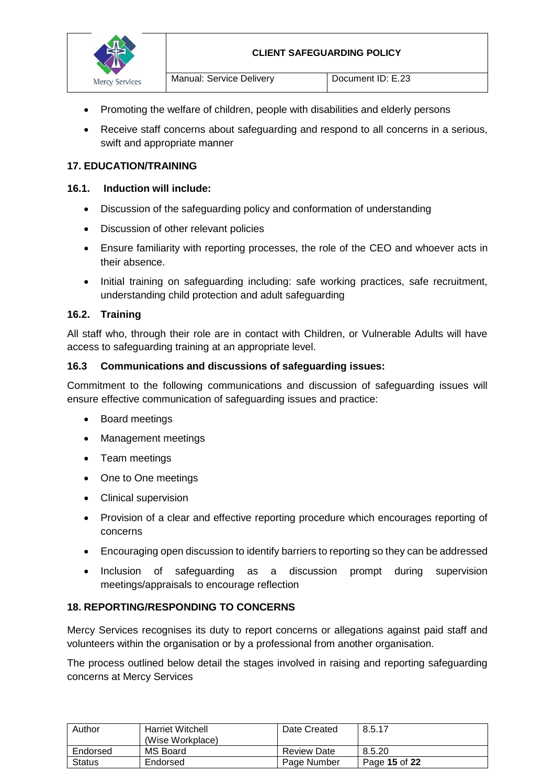

- Promoting the welfare of children, people with disabilities and elderly persons
- Receive staff concerns about safeguarding and respond to all concerns in a serious, swift and appropriate manner

#### **17. EDUCATION/TRAINING**

#### **16.1. Induction will include:**

- Discussion of the safeguarding policy and conformation of understanding
- Discussion of other relevant policies
- Ensure familiarity with reporting processes, the role of the CEO and whoever acts in their absence.
- Initial training on safeguarding including: safe working practices, safe recruitment, understanding child protection and adult safeguarding

#### **16.2. Training**

All staff who, through their role are in contact with Children, or Vulnerable Adults will have access to safeguarding training at an appropriate level.

#### **16.3 Communications and discussions of safeguarding issues:**

Commitment to the following communications and discussion of safeguarding issues will ensure effective communication of safeguarding issues and practice:

- Board meetings
- Management meetings
- Team meetings
- One to One meetings
- Clinical supervision
- Provision of a clear and effective reporting procedure which encourages reporting of concerns
- Encouraging open discussion to identify barriers to reporting so they can be addressed
- Inclusion of safeguarding as a discussion prompt during supervision meetings/appraisals to encourage reflection

#### **18. REPORTING/RESPONDING TO CONCERNS**

Mercy Services recognises its duty to report concerns or allegations against paid staff and volunteers within the organisation or by a professional from another organisation.

The process outlined below detail the stages involved in raising and reporting safeguarding concerns at Mercy Services

| Author        | <b>Harriet Witchell</b><br>(Wise Workplace) | Date Created       | 8.5.17        |
|---------------|---------------------------------------------|--------------------|---------------|
| Endorsed      | MS Board                                    | <b>Review Date</b> | 8.5.20        |
| <b>Status</b> | Endorsed                                    | Page Number        | Page 15 of 22 |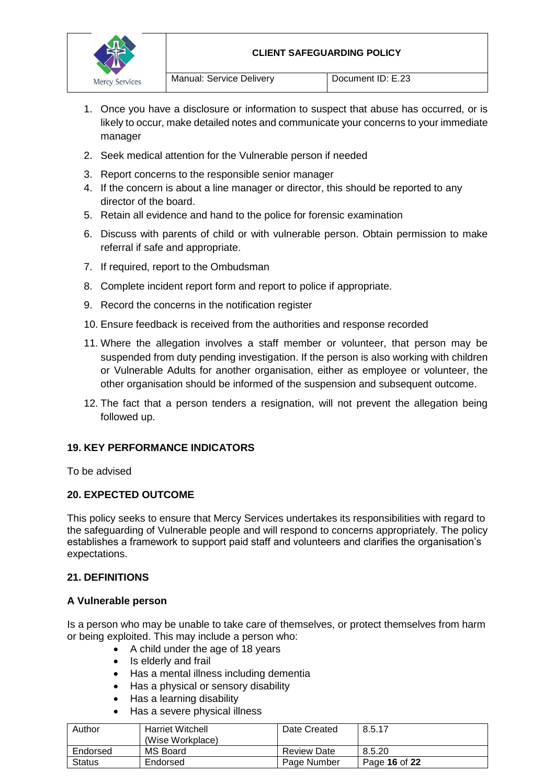#### **CLIENT SAFEGUARDING POLICY**



- 1. Once you have a disclosure or information to suspect that abuse has occurred, or is likely to occur, make detailed notes and communicate your concerns to your immediate manager
- 2. Seek medical attention for the Vulnerable person if needed
- 3. Report concerns to the responsible senior manager
- 4. If the concern is about a line manager or director, this should be reported to any director of the board.
- 5. Retain all evidence and hand to the police for forensic examination
- 6. Discuss with parents of child or with vulnerable person. Obtain permission to make referral if safe and appropriate.
- 7. If required, report to the Ombudsman
- 8. Complete incident report form and report to police if appropriate.
- 9. Record the concerns in the notification register
- 10. Ensure feedback is received from the authorities and response recorded
- 11. Where the allegation involves a staff member or volunteer, that person may be suspended from duty pending investigation. If the person is also working with children or Vulnerable Adults for another organisation, either as employee or volunteer, the other organisation should be informed of the suspension and subsequent outcome.
- 12. The fact that a person tenders a resignation, will not prevent the allegation being followed up.

#### **19. KEY PERFORMANCE INDICATORS**

To be advised

#### **20. EXPECTED OUTCOME**

This policy seeks to ensure that Mercy Services undertakes its responsibilities with regard to the safeguarding of Vulnerable people and will respond to concerns appropriately. The policy establishes a framework to support paid staff and volunteers and clarifies the organisation's expectations.

### **21. DEFINITIONS**

#### **A Vulnerable person**

Is a person who may be unable to take care of themselves, or protect themselves from harm or being exploited. This may include a person who:

- A child under the age of 18 years
- Is elderly and frail
- Has a mental illness including dementia
- Has a physical or sensory disability
- Has a learning disability
- Has a severe physical illness

| Author        | <b>Harriet Witchell</b><br>(Wise Workplace) | Date Created       | 8.5.17        |
|---------------|---------------------------------------------|--------------------|---------------|
| Endorsed      | MS Board                                    | <b>Review Date</b> | 8.5.20        |
| <b>Status</b> | Endorsed                                    | Page Number        | Page 16 of 22 |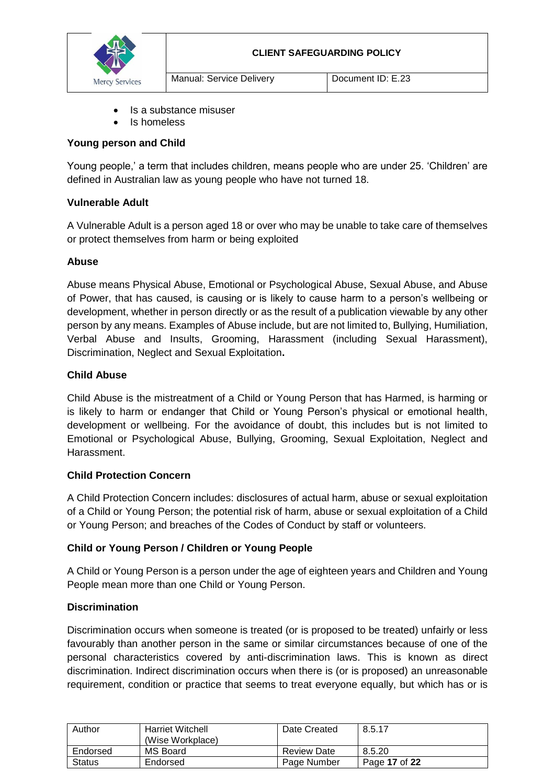

- Is a substance misuser
- Is homeless

### **Young person and Child**

Young people,' a term that includes children, means people who are under 25. 'Children' are defined in Australian law as young people who have not turned 18.

### **Vulnerable Adult**

A Vulnerable Adult is a person aged 18 or over who may be unable to take care of themselves or protect themselves from harm or being exploited

### **Abuse**

Abuse means Physical Abuse, Emotional or Psychological Abuse, Sexual Abuse, and Abuse of Power, that has caused, is causing or is likely to cause harm to a person's wellbeing or development, whether in person directly or as the result of a publication viewable by any other person by any means. Examples of Abuse include, but are not limited to, Bullying, Humiliation, Verbal Abuse and Insults, Grooming, Harassment (including Sexual Harassment), Discrimination, Neglect and Sexual Exploitation**.**

### **Child Abuse**

Child Abuse is the mistreatment of a Child or Young Person that has Harmed, is harming or is likely to harm or endanger that Child or Young Person's physical or emotional health, development or wellbeing. For the avoidance of doubt, this includes but is not limited to Emotional or Psychological Abuse, Bullying, Grooming, Sexual Exploitation, Neglect and Harassment.

#### **Child Protection Concern**

A Child Protection Concern includes: disclosures of actual harm, abuse or sexual exploitation of a Child or Young Person; the potential risk of harm, abuse or sexual exploitation of a Child or Young Person; and breaches of the Codes of Conduct by staff or volunteers.

# **Child or Young Person / Children or Young People**

A Child or Young Person is a person under the age of eighteen years and Children and Young People mean more than one Child or Young Person.

# **Discrimination**

Discrimination occurs when someone is treated (or is proposed to be treated) unfairly or less favourably than another person in the same or similar circumstances because of one of the personal characteristics covered by anti-discrimination laws. This is known as direct discrimination. Indirect discrimination occurs when there is (or is proposed) an unreasonable requirement, condition or practice that seems to treat everyone equally, but which has or is

| Author        | <b>Harriet Witchell</b><br>(Wise Workplace) | Date Created       | 8.5.17        |
|---------------|---------------------------------------------|--------------------|---------------|
| Endorsed      | MS Board                                    | <b>Review Date</b> | 8.5.20        |
| <b>Status</b> | Endorsed                                    | Page Number        | Page 17 of 22 |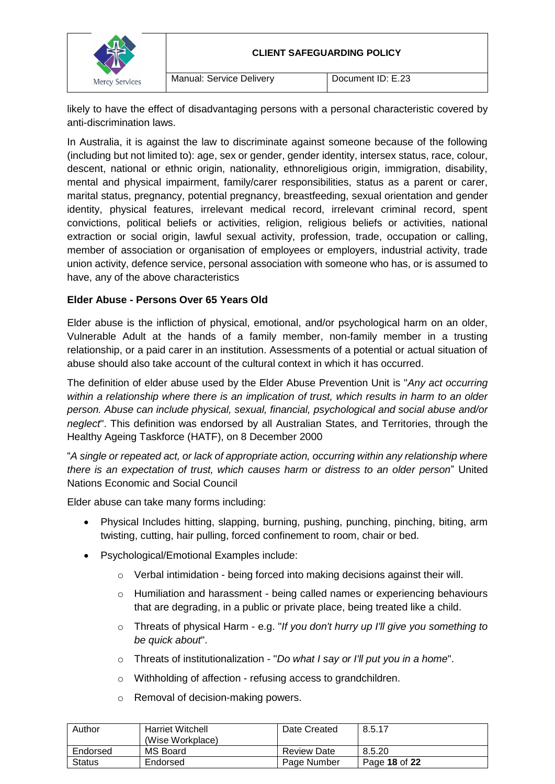

likely to have the effect of disadvantaging persons with a personal characteristic covered by anti-discrimination laws.

In Australia, it is against the law to discriminate against someone because of the following (including but not limited to): age, sex or gender, gender identity, intersex status, race, colour, descent, national or ethnic origin, nationality, ethnoreligious origin, immigration, disability, mental and physical impairment, family/carer responsibilities, status as a parent or carer, marital status, pregnancy, potential pregnancy, breastfeeding, sexual orientation and gender identity, physical features, irrelevant medical record, irrelevant criminal record, spent convictions, political beliefs or activities, religion, religious beliefs or activities, national extraction or social origin, lawful sexual activity, profession, trade, occupation or calling, member of association or organisation of employees or employers, industrial activity, trade union activity, defence service, personal association with someone who has, or is assumed to have, any of the above characteristics

# **Elder Abuse - Persons Over 65 Years Old**

Elder abuse is the infliction of physical, emotional, and/or psychological harm on an older, Vulnerable Adult at the hands of a family member, non-family member in a trusting relationship, or a paid carer in an institution. Assessments of a potential or actual situation of abuse should also take account of the cultural context in which it has occurred.

The definition of elder abuse used by the Elder Abuse Prevention Unit is "*Any act occurring within a relationship where there is an implication of trust, which results in harm to an older person. Abuse can include physical, sexual, financial, psychological and social abuse and/or neglect*". This definition was endorsed by all Australian States, and Territories, through the Healthy Ageing Taskforce (HATF), on 8 December 2000

"*A single or repeated act, or lack of appropriate action, occurring within any relationship where there is an expectation of trust, which causes harm or distress to an older person*" United Nations Economic and Social Council

Elder abuse can take many forms including:

- Physical Includes hitting, slapping, burning, pushing, punching, pinching, biting, arm twisting, cutting, hair pulling, forced confinement to room, chair or bed.
- Psychological/Emotional Examples include:
	- o Verbal intimidation being forced into making decisions against their will.
	- o Humiliation and harassment being called names or experiencing behaviours that are degrading, in a public or private place, being treated like a child.
	- o Threats of physical Harm e.g. "*If you don't hurry up I'll give you something to be quick about*".
	- o Threats of institutionalization "*Do what I say or I'll put you in a home*".
	- o Withholding of affection refusing access to grandchildren.
	- o Removal of decision-making powers.

| Author   | Harriet Witchell<br>(Wise Workplace) | Date Created       | 8.5.17        |
|----------|--------------------------------------|--------------------|---------------|
| Endorsed | MS Board                             | <b>Review Date</b> | 8.5.20        |
| Status   | Endorsed                             | Page Number        | Page 18 of 22 |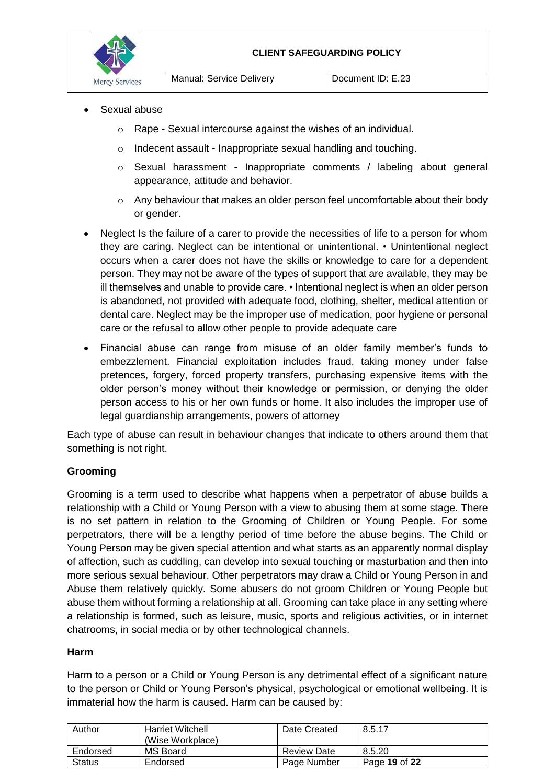

- Sexual abuse
	- o Rape Sexual intercourse against the wishes of an individual.
	- o Indecent assault Inappropriate sexual handling and touching.
	- o Sexual harassment Inappropriate comments / labeling about general appearance, attitude and behavior.
	- $\circ$  Any behaviour that makes an older person feel uncomfortable about their body or gender.
- Neglect Is the failure of a carer to provide the necessities of life to a person for whom they are caring. Neglect can be intentional or unintentional. • Unintentional neglect occurs when a carer does not have the skills or knowledge to care for a dependent person. They may not be aware of the types of support that are available, they may be ill themselves and unable to provide care. • Intentional neglect is when an older person is abandoned, not provided with adequate food, clothing, shelter, medical attention or dental care. Neglect may be the improper use of medication, poor hygiene or personal care or the refusal to allow other people to provide adequate care
- Financial abuse can range from misuse of an older family member's funds to embezzlement. Financial exploitation includes fraud, taking money under false pretences, forgery, forced property transfers, purchasing expensive items with the older person's money without their knowledge or permission, or denying the older person access to his or her own funds or home. It also includes the improper use of legal guardianship arrangements, powers of attorney

Each type of abuse can result in behaviour changes that indicate to others around them that something is not right.

# **Grooming**

Grooming is a term used to describe what happens when a perpetrator of abuse builds a relationship with a Child or Young Person with a view to abusing them at some stage. There is no set pattern in relation to the Grooming of Children or Young People. For some perpetrators, there will be a lengthy period of time before the abuse begins. The Child or Young Person may be given special attention and what starts as an apparently normal display of affection, such as cuddling, can develop into sexual touching or masturbation and then into more serious sexual behaviour. Other perpetrators may draw a Child or Young Person in and Abuse them relatively quickly. Some abusers do not groom Children or Young People but abuse them without forming a relationship at all. Grooming can take place in any setting where a relationship is formed, such as leisure, music, sports and religious activities, or in internet chatrooms, in social media or by other technological channels.

#### **Harm**

Harm to a person or a Child or Young Person is any detrimental effect of a significant nature to the person or Child or Young Person's physical, psychological or emotional wellbeing. It is immaterial how the harm is caused. Harm can be caused by:

| Author        | <b>Harriet Witchell</b><br>(Wise Workplace) | Date Created       | 8.5.17        |
|---------------|---------------------------------------------|--------------------|---------------|
| Endorsed      | MS Board                                    | <b>Review Date</b> | 8.5.20        |
| <b>Status</b> | Endorsed                                    | Page Number        | Page 19 of 22 |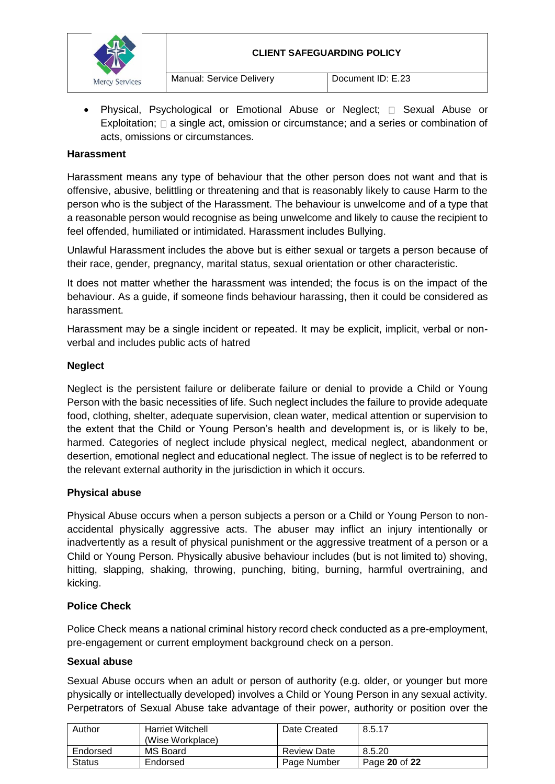

Physical, Psychological or Emotional Abuse or Neglect:  $\Box$  Sexual Abuse or Exploitation;  $\square$  a single act, omission or circumstance; and a series or combination of acts, omissions or circumstances.

### **Harassment**

Harassment means any type of behaviour that the other person does not want and that is offensive, abusive, belittling or threatening and that is reasonably likely to cause Harm to the person who is the subject of the Harassment. The behaviour is unwelcome and of a type that a reasonable person would recognise as being unwelcome and likely to cause the recipient to feel offended, humiliated or intimidated. Harassment includes Bullying.

Unlawful Harassment includes the above but is either sexual or targets a person because of their race, gender, pregnancy, marital status, sexual orientation or other characteristic.

It does not matter whether the harassment was intended; the focus is on the impact of the behaviour. As a guide, if someone finds behaviour harassing, then it could be considered as harassment.

Harassment may be a single incident or repeated. It may be explicit, implicit, verbal or nonverbal and includes public acts of hatred

#### **Neglect**

Neglect is the persistent failure or deliberate failure or denial to provide a Child or Young Person with the basic necessities of life. Such neglect includes the failure to provide adequate food, clothing, shelter, adequate supervision, clean water, medical attention or supervision to the extent that the Child or Young Person's health and development is, or is likely to be, harmed. Categories of neglect include physical neglect, medical neglect, abandonment or desertion, emotional neglect and educational neglect. The issue of neglect is to be referred to the relevant external authority in the jurisdiction in which it occurs.

#### **Physical abuse**

Physical Abuse occurs when a person subjects a person or a Child or Young Person to nonaccidental physically aggressive acts. The abuser may inflict an injury intentionally or inadvertently as a result of physical punishment or the aggressive treatment of a person or a Child or Young Person. Physically abusive behaviour includes (but is not limited to) shoving, hitting, slapping, shaking, throwing, punching, biting, burning, harmful overtraining, and kicking.

#### **Police Check**

Police Check means a national criminal history record check conducted as a pre-employment, pre-engagement or current employment background check on a person.

#### **Sexual abuse**

Sexual Abuse occurs when an adult or person of authority (e.g. older, or younger but more physically or intellectually developed) involves a Child or Young Person in any sexual activity. Perpetrators of Sexual Abuse take advantage of their power, authority or position over the

| Author        | <b>Harriet Witchell</b><br>(Wise Workplace) | Date Created       | 8.5.17        |
|---------------|---------------------------------------------|--------------------|---------------|
| Endorsed      | MS Board                                    | <b>Review Date</b> | 8.5.20        |
| <b>Status</b> | Endorsed                                    | Page Number        | Page 20 of 22 |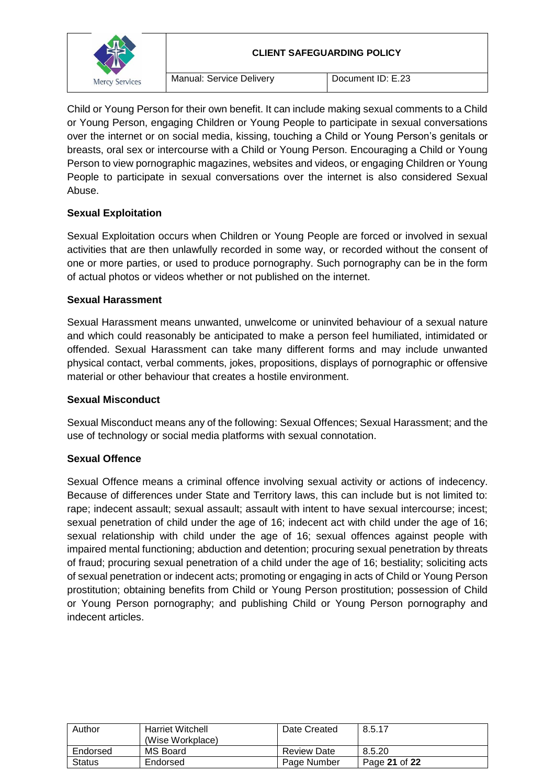

Child or Young Person for their own benefit. It can include making sexual comments to a Child or Young Person, engaging Children or Young People to participate in sexual conversations over the internet or on social media, kissing, touching a Child or Young Person's genitals or breasts, oral sex or intercourse with a Child or Young Person. Encouraging a Child or Young Person to view pornographic magazines, websites and videos, or engaging Children or Young People to participate in sexual conversations over the internet is also considered Sexual Abuse.

# **Sexual Exploitation**

Sexual Exploitation occurs when Children or Young People are forced or involved in sexual activities that are then unlawfully recorded in some way, or recorded without the consent of one or more parties, or used to produce pornography. Such pornography can be in the form of actual photos or videos whether or not published on the internet.

### **Sexual Harassment**

Sexual Harassment means unwanted, unwelcome or uninvited behaviour of a sexual nature and which could reasonably be anticipated to make a person feel humiliated, intimidated or offended. Sexual Harassment can take many different forms and may include unwanted physical contact, verbal comments, jokes, propositions, displays of pornographic or offensive material or other behaviour that creates a hostile environment.

# **Sexual Misconduct**

Sexual Misconduct means any of the following: Sexual Offences; Sexual Harassment; and the use of technology or social media platforms with sexual connotation.

# **Sexual Offence**

Sexual Offence means a criminal offence involving sexual activity or actions of indecency. Because of differences under State and Territory laws, this can include but is not limited to: rape; indecent assault; sexual assault; assault with intent to have sexual intercourse; incest; sexual penetration of child under the age of 16; indecent act with child under the age of 16; sexual relationship with child under the age of 16; sexual offences against people with impaired mental functioning; abduction and detention; procuring sexual penetration by threats of fraud; procuring sexual penetration of a child under the age of 16; bestiality; soliciting acts of sexual penetration or indecent acts; promoting or engaging in acts of Child or Young Person prostitution; obtaining benefits from Child or Young Person prostitution; possession of Child or Young Person pornography; and publishing Child or Young Person pornography and indecent articles.

| Author        | <b>Harriet Witchell</b><br>(Wise Workplace) | Date Created       | 8.5.17        |
|---------------|---------------------------------------------|--------------------|---------------|
| Endorsed      | MS Board                                    | <b>Review Date</b> | 8.5.20        |
| <b>Status</b> | Endorsed                                    | Page Number        | Page 21 of 22 |